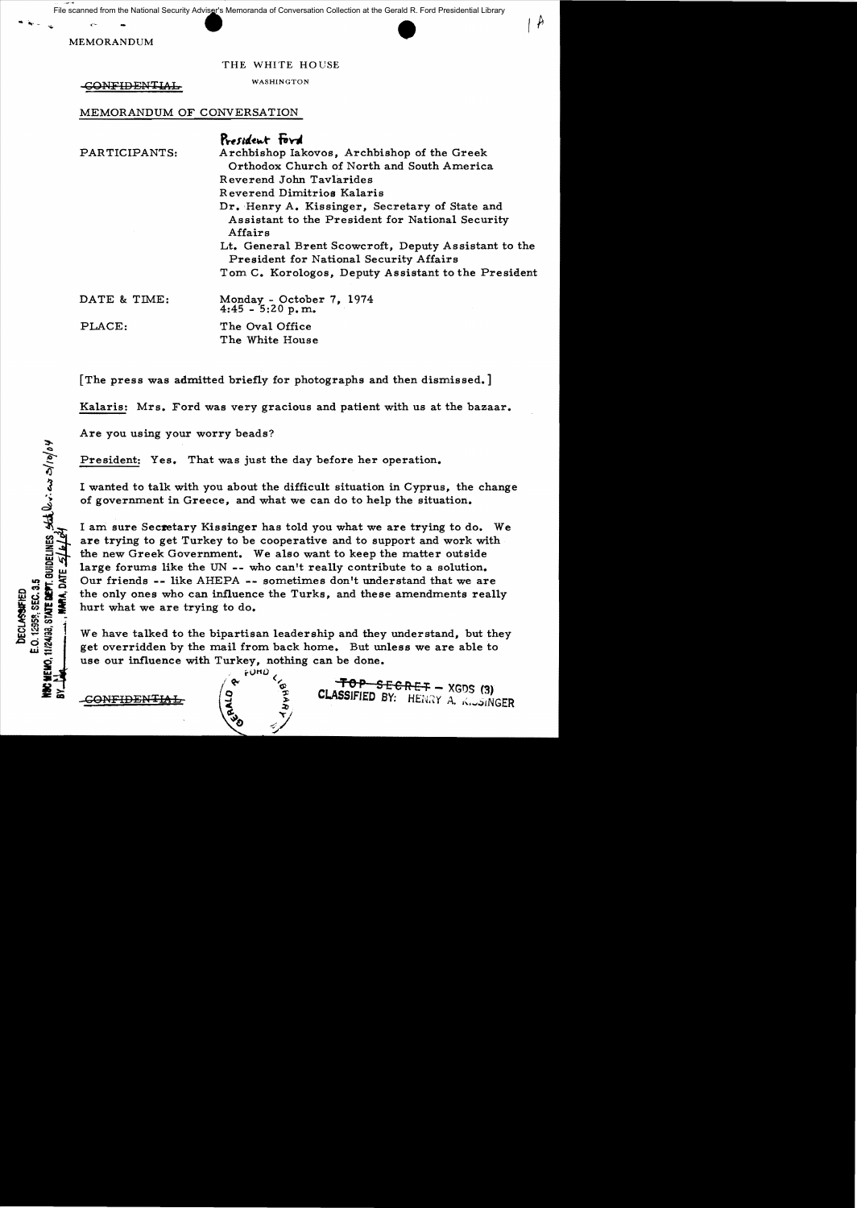File scanned from the National Security Adviser's Memoranda of Conversation Collection at the Gerald R. Ford Presidential Library

Scanned from the National Security Adviser's Memoranda<br>
MEMORANDUM<br>
TIME



 $\rightarrow$ 

THE WHITE HOUSE

GONFIDENTIAL WASHINGTON

MEMORANDUM OF CONVERSATION

|               | President Ford                                                                                         |
|---------------|--------------------------------------------------------------------------------------------------------|
| PARTICIPANTS: | Archbishop Iakovos, Archbishop of the Greek                                                            |
|               | Orthodox Church of North and South America                                                             |
|               | Reverend John Tavlarides                                                                               |
|               | Reverend Dimitrios Kalaris                                                                             |
|               | Dr. Henry A. Kissinger, Secretary of State and                                                         |
|               | Assistant to the President for National Security<br>Affairs                                            |
|               | Lt. General Brent Scowcroft, Deputy Assistant to the<br><b>President for National Security Affairs</b> |
|               | Tom C. Korologos, Deputy Assistant to the President                                                    |
| DATE & TIME:  | Monday - October 7, 1974<br>$4:45 - 5:20 p.m.$                                                         |
| PLACE:        | The Oval Office                                                                                        |

[The press was admitted briefly for photographs and then dismissed.]

The White House

Kalaris: Mrs. Ford was very gracious and patient with us at the bazaar.

Are you using your worry beads?

President: Yes. That was just the day before her operation.

I wanted to talk with you about the difficult situation in Cyprus, the change of government in Greece, and what we can do to help the situation.

I am sure Secretary Kissinger has told you what we are trying to do. We are trying to get Turkey to be cooperative and to support and work with the new Greek Government. We also want to keep the matter outside large forums like the UN -- who can't really contribute to a solution. Our friends -- like AHEPA -- sometimes don't understand that we are the only ones who can influence the Turks, and these amendments really hurt what we are trying to do.

We have talked to the bipartisan leadership and they understand, but they get overridden by the mail from back home. But unless we are able to use our influence with Turkey, nothing can be done.

 $\bullet$   $\checkmark$ 

**E.** ELABSIFIED BY: HENRY A. KISINGER

<u>CONFIDENTIAL</u>  $\begin{pmatrix} e^{fUHD} & & & & & \ 0 & e^{fUHD} & & & & \ 0 & 0 & 0 & 0 & 0 \ 0 & 0 & 0 & 0 & 0 \end{pmatrix}$  CLASSIFIED BY: HENRY A,  $\begin{pmatrix} 0 & 0 & 0 & 0 \ 0 & 0 & 0 & 0 \ 0 & 0 & 0 & 0 \end{pmatrix}$ 

11/24/38, STATE DEPT. OUIDELINES, State les 0/10/04

E.O. 12959, SEC. 3.5 **DECLASSIFIED** 

CHEMO.

**MAA, DATE**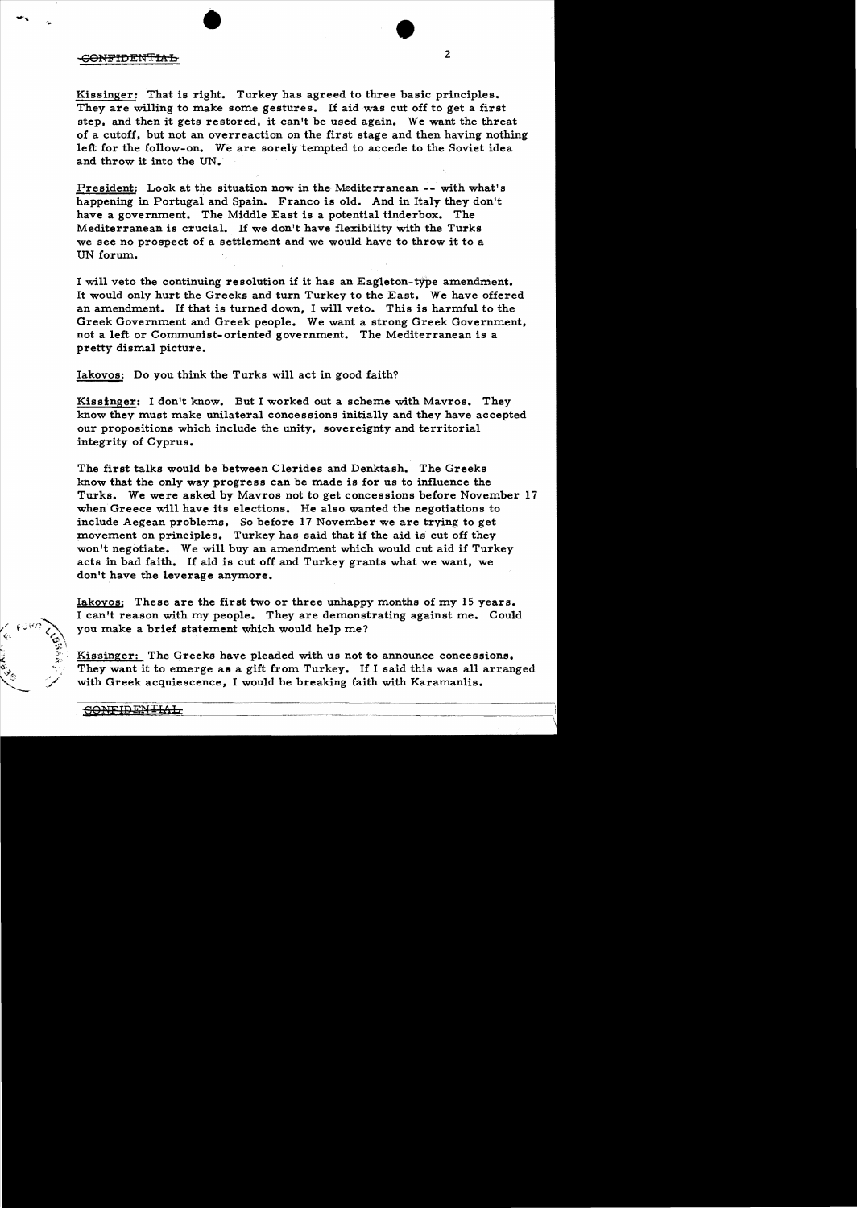## <del>CONFIDENTIAL</del>

Kissinger: That is right. Turkey has agreed to three basic principles. They are willing to make some gestures. If aid was cut off to get a first step, and then it gets restored, it can't be used again. We want the threat of a cutoff, but not an overreaction on the first stage and then having nothing left for the follow-on. We are sorely tempted to accede to the Soviet idea and throw it into the IIN.

2

President: Look at the situation now in the Mediterranean -- with what's happening in Portugal and Spain. Franco is old. And in Italy they don't have a government. The Middle East is a potential tinderbox. The Mediterranean is crucial. If we don't have flexibility with the Turks we see no prospect of a settlement and we would have to throw it to a UN forum.

I will veto the continuing resolution if it has an Eagleton-type amendment. It would only hurt the Greeks and turn Turkey to the East. We have offered an amendment. If that is turned down, I will veto. This is harmful to the Greek Government and Greek people. We want a strong Greek Government, not a left or Communist-oriented government. The Mediterranean is a pretty dismal picture.

Iakovos: Do you think the Turks will act in good faith?

•

Kissinger: I don't know. But I worked out a scheme with Mavros. They know they must make unilateral concessions initially and they have accepted our propositions which include the unity, sovereignty and territorial integrity of Cyprus.

The first talks would be between Clerides and Denktash. The Greeks know that the only way progress can be made is for us to influence the Turks. We were asked by Mavros not to get concessions before November 17 when Greece will have its elections. He also wanted the negotiations to include Aegean problems. So before 17 November we are trying to get movement on principles. Turkey has said that if the aid is cut off they won't negotiate. We will buy an amendment which would cut aid if Turkey acts in bad faith. If aid is cut off and Turkey grants what we want, we don't have the leverage anymore.

Iakovos: These are the first two or three unhappy months of my 15 years. I can't reason with my people. They are demonstrating against me. Could you make a brief statement which would help me?

Kissinger: The Greeks have pleaded with us not to announce concessions. They want it to emerge as a gift from Turkey. If I said this was all arranged with Greek acquiescence, I would be breaking faith with Karamanlis.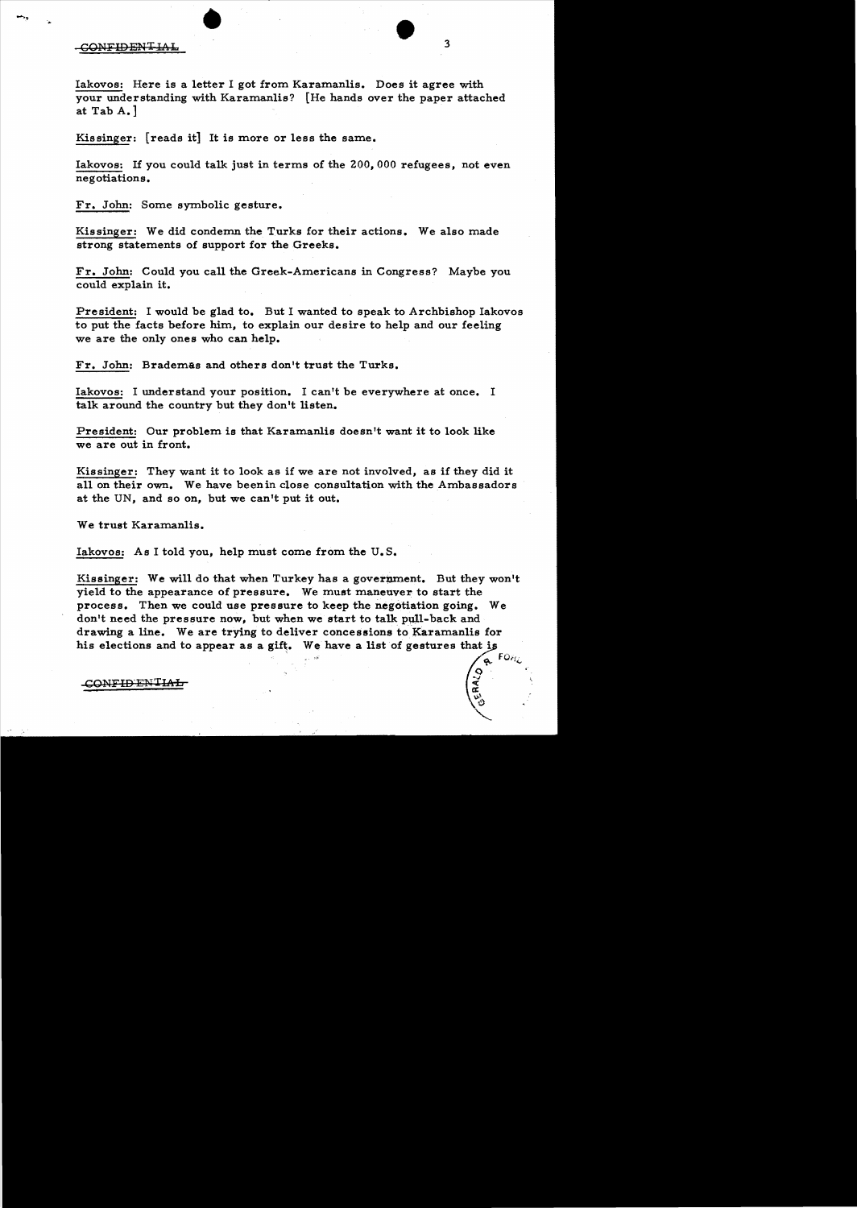## CONFIDENTIAL

Iakovos: Here is a letter I got from Karamanlis. Does it agree with your understanding with Karamanlis? [He hands over the paper attached at Tab A.]

Kissinger: [reads it] It is more or less the same.

Iakovos: If you could talk just in terms of the 200,000 refugees, not even negotiations.

Fr. John: Some symbolic gesture.

Kissinger: We did condemn the Turks for their actions. We also made strong statements of support for the Greeks.

Fr. John: Could you call the Greek-Americans in Congress? Maybe you could explain it.

President: I would be glad to. But I wanted to speak to Archbishop Iakovos to put the facts before him, to explain our desire to help and our feeling we are the only ones who can help.

Fr. John: Brademas and others don't trust the Turks.

Iakovos: I understand your position. I can't be everywhere at once. I talk around the country but they don't listen.

President: Our problem is that Karamanlis doesn't want it to look like we are out in front.

Kissinger: They want it to look as if we are not involved, as if they did it all on their own. We have beenin close consultation with the Ambassadors at the UN, and so on, but we can't put it out.

We trust Karamanlis.

Iakovos: As I told you, help must come from the U. S.

Kissinger: We will do that when Turkey has a government. But they won't yield to the appearance of pressure. We must maneuver to start the process. Then we could use pressure to keep the negotiation going. We don't need the pressure now, but when we start to talk pull-back and drawing a line. We are trying to deliver concessions to Karamanlis for his elections and to appear as a gift. We have a list of gestures that is

CONFIDENTIA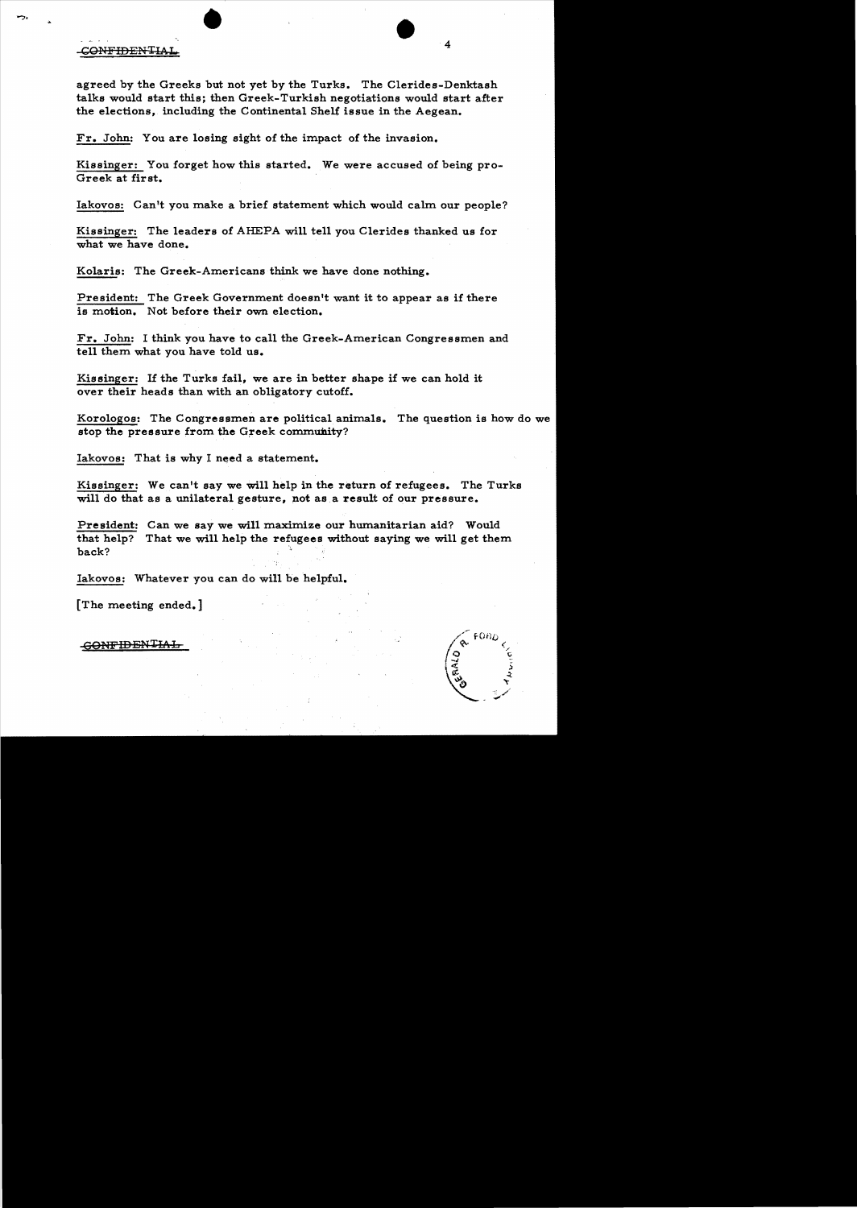## CONFIDENTIAL

agreed by the Greeks but not yet by the Turks. The Clerides-Denktash talks would start this; then Greek-Turkish negotiations would start after the elections, including the Continental Shelf issue in the Aegean.

Fr. John: You are losing sight of the impact of the invasion.

Kissinger: You forget how this started. We were accused of being pro-Greek at first.

Iakovos: Can't you make a brief statement which would calm our people?

Kissinger: The leaders of AHEPA will tell you Clerides thanked us for what we have done.

Kolaris: The Greek-Americans think we have done nothing.

President: The Greek Government doesn't want it to appear as if there is motion. Not before their own election.

Fr. John: I think you have to call the Greek-American Congressmen and tell them what you have told us.

Kissinger: If the Turks fail, we are in better shape if we can hold it over their heads than with an obligatory cutoff.

Korologos: The Congressmen are political animals. The question is how do we stop the pressure from the Greek community?

Iakovos: That is why I need a statement.

Kissinger: We can't say we will help in the return of refugees. The Turks will do that as a unilateral gesture, not as a result of our pressure.

President: Can we say we will maximize our humanitarian aid? Would that help? That we will help the refugees without saying we will get them back?

Iakovos: Whatever you can do will be helpful.

[The meeting ended.]

**GONFIDENTIAL**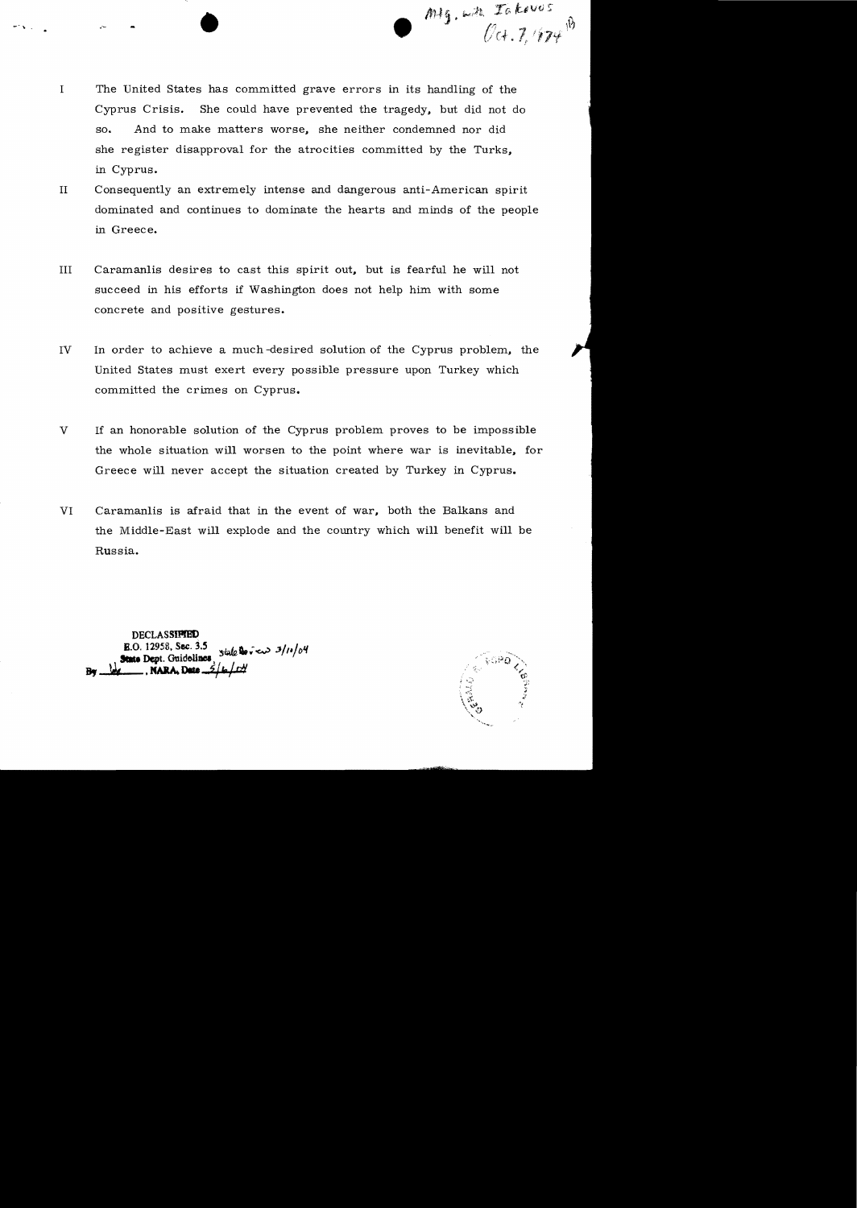$\bullet$   $\bullet$ 

I The United States has committed grave errors in its handling of the Cyprus Crisis. She could have prevented the tragedy, but did not do so. And to make matters worse, she neither condemned nor did she register disapproval for the atrocities committed by the Turks, in Cyprus.

•

- II Consequently an extremely intense and dangerous anti-American spirit dominated and continues to dominate the hearts and minds of the people in Greece.
- III Caramanlis desires to cast this spirit out, but is fearful he will not succeed in his efforts if Washington does not help him with some concrete and positive gestures.
- IV In order to achieve a much-desired solution of the Cyprus problem, the United States must exert every possible pressure upon Turkey which committed the crimes on Cyprus.
- V If an honorable solution of the Cyprus problem proves to be impossible the whole situation will worsen to the point where war is inevitable, for Greece will never accept the situation created by Turkey in Cyprus.
- VI Caramanlis is afraid that in the event of war, both the Balkans and the Middle-East will explode and the country which will benefit will be Russia.

**DECLASSIFIED** B.O. 12958, Sec. 3.5<br>State Dept. Guidelines, State Devices  $3/n/v$ 

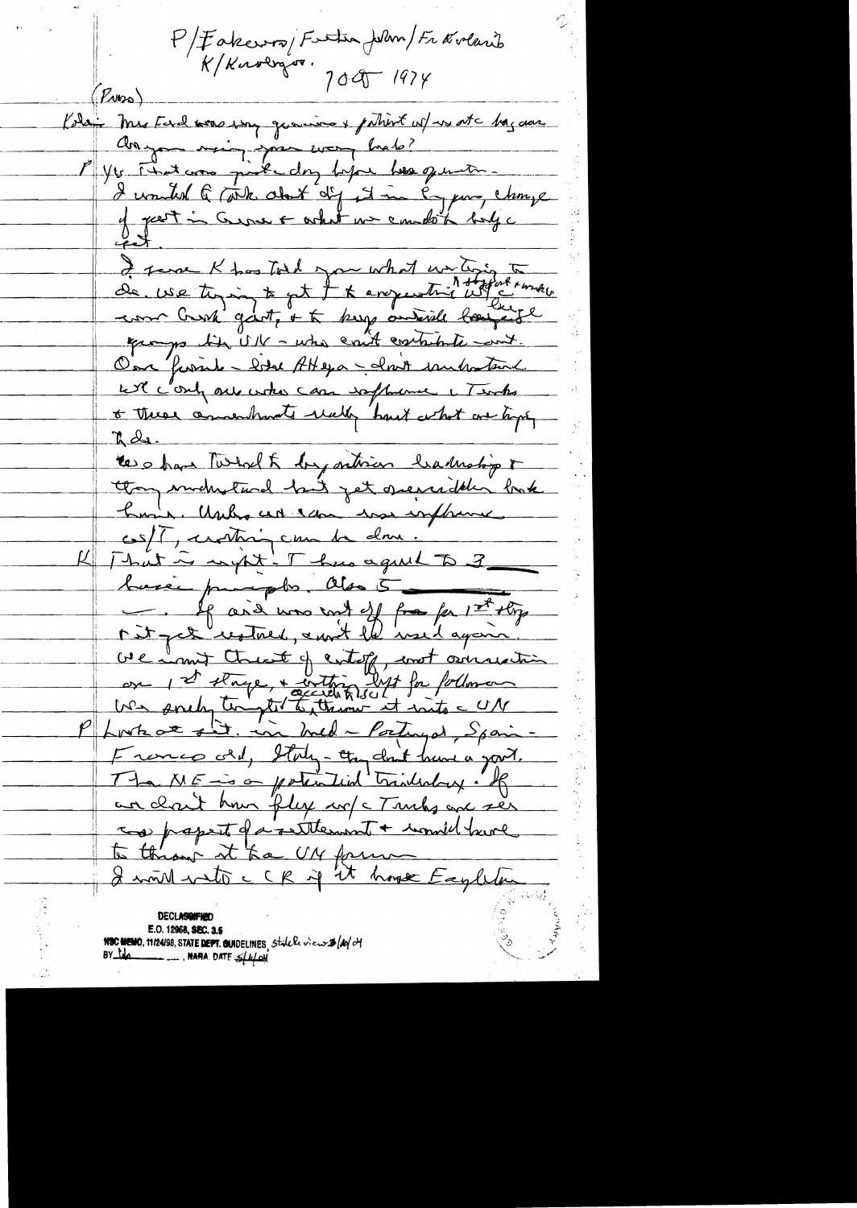P/Fakcuro/Futur/when/Fravenik<br>K/Karlyso, 1095-1974  $(R_{\text{W2a}})$ Kolai Mes Ferel was way granine & putient w/ws at haz das Anyon rain par wor hab? I vouted Q (John Aut dig est in Egyen, change y part in Course & what we compte to lige I serve Khostol you what we ting to un Crest gart, + to keep onterile bougantle quoyo bi UK - who could contribute out. One furiale - betal AHeya - cloud understand will contrat entre case software i Timbe + these amounts welly hast what we tape, L de the others Turbal & by orthicis hadroling & thou industine his jet operadeler look have Usely at can was explaine cs/[, crothing can be done. That is upt . Thus agust to 3 busce pumpto. Obs 5 1 ord was and off for part offer We hand these of entof, and consider Franco del, Italy-chapelinit hunt a your. The ME is a potential trinhology. R an clout how fly w/c Truly and ser cas papert da settlement + would have to throw it ha UN former Eagleton

E.O. 12968, SEC. 3.5 NSC MEMO, 11/24/98, STATE DEPT. QUIDELINES Statele view \$ (bo/ of BY tolo \_\_\_\_\_\_\_ NARA DATE S/2/01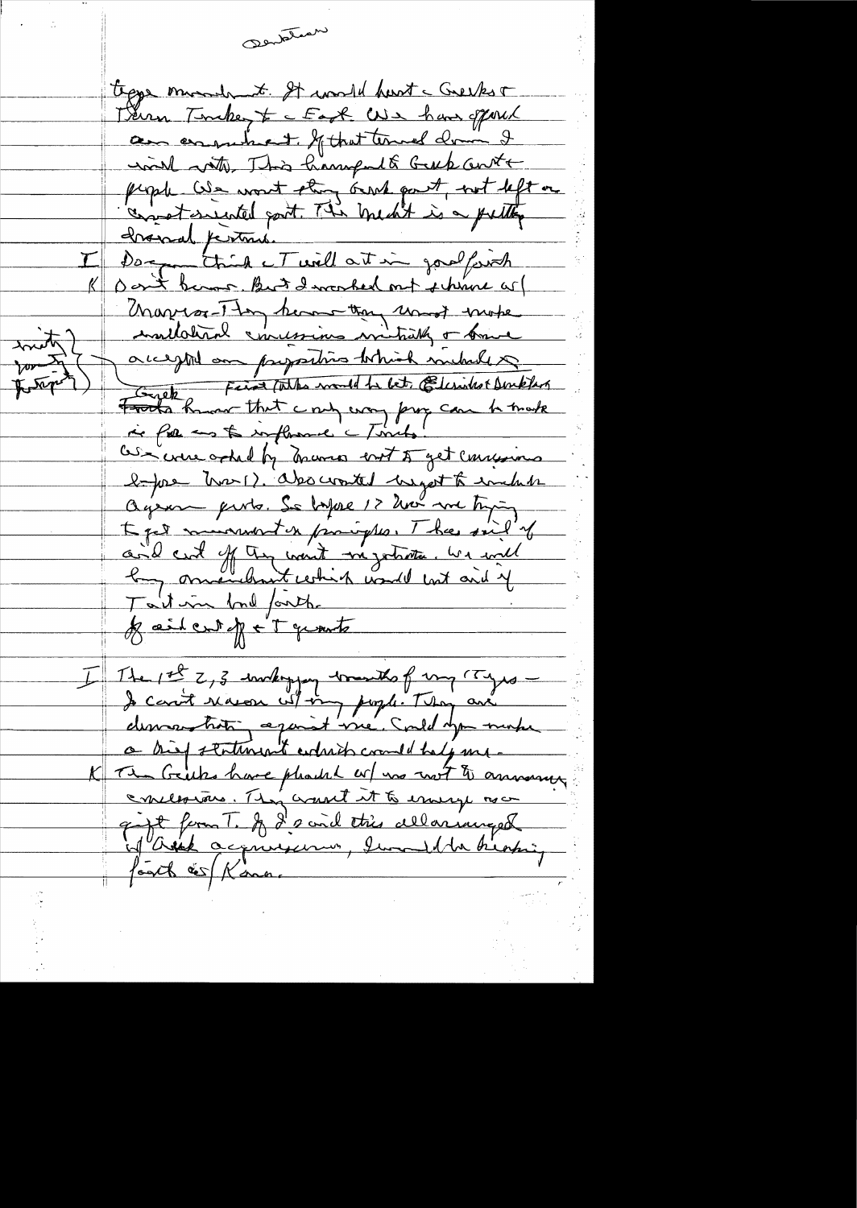mantahap tegge minute of world hart - Greekst Trenn Tember to East We have offord am ensuined. If that termed draw I will with This hampult Gub ante people We want thing ourse part, not left on connect essented part. This medit is a putty Dagmenthink et will at in goodferich Don't became But I worked out i him as Marion Thy ham than und more think accepted on propositions tothick michael & ton I Fronts Remove that a nonle to let Elisabet Dinklas are were other by many ent of get conservers before trans). absoluted usgot to inclube Oujourne parts. Se topse 12 hours avec trying I get murrent en promighter. The said of aid cut of the word mystrate. We will Tailor bond fanthe Jailent Je Tymts I The 1st 2, 3 workoggy wounds of my rayes -I can't river wit my pople. They are demandant against vie. Could you make a high statement enderst comment help me-The Grits have pleased or mo not to announce conclosions. They want it to ensure now gapt form T. I 2 and this alloninged of ask acquirement, lund the biotic, footh és Konne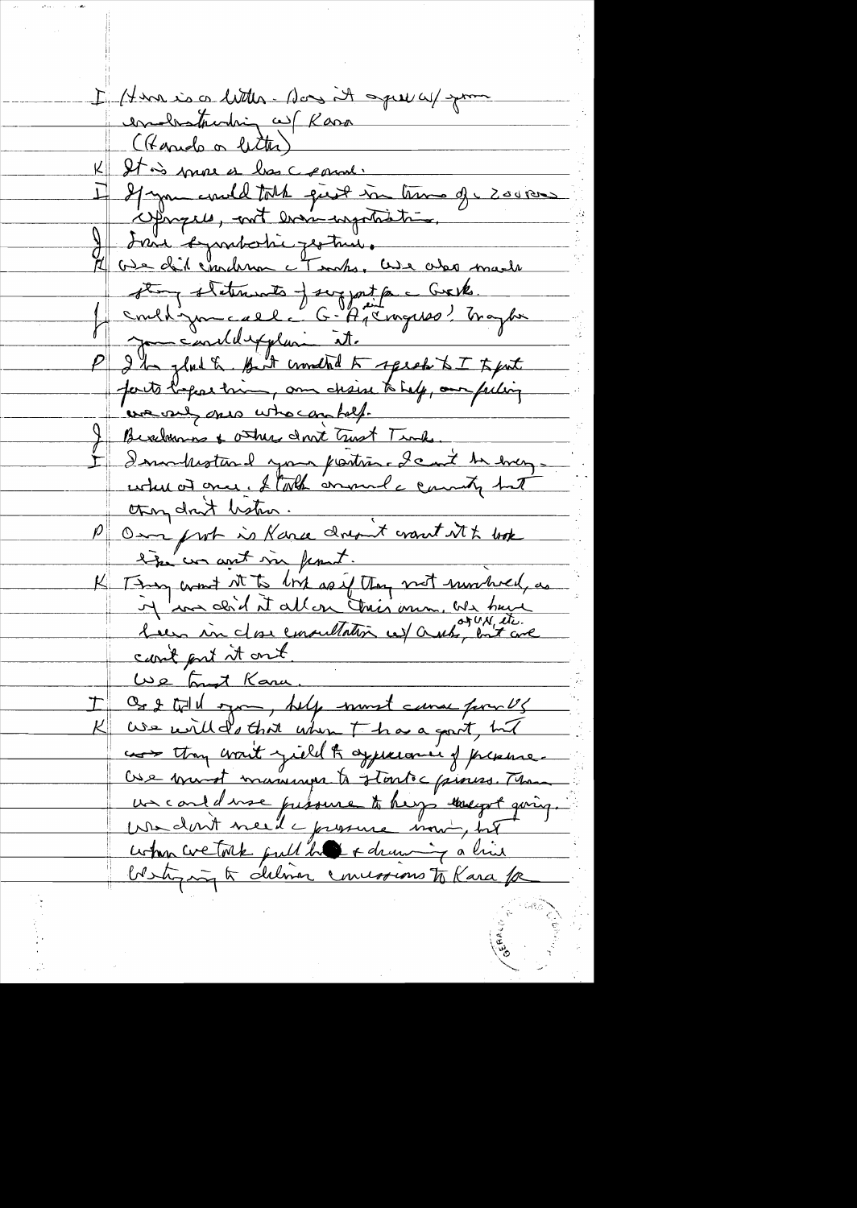I Have is a little - Nous it speech you ernalestrading as Rasa (Kanido or lecter) It is more as loss crown. I If you could talk give in them of - 2001200 Expangues, and even ingentiation I vui bymbotic jestus. Ove dit emplement et sont les cler made Stong stetumets - sergest par Greik.<br>/ Could Jame all C-Agemyrso! Inapti P I'm glad to But crowded to speak to I to put forts before trim, and chaine to help, our feeling we only cres who can help. Bevelvemme & other don't Tust Time Inventional your postion. I can't be everyuotus at once. Stock annual a county but open drit besten P Om from is Karse dreamt want it to look the war ant in first. K Time want it to link as if they not numbered, as in aux doit it allen tries omm, we have can't put it out We find Kana. Os & till sym, help must cance for US We will d'o that when I has a good, but cors they want jield & appearance of pressure Ose mont manager to startec pines. Ma un cont d'use présine to hige une principal quinq. when we talk pull be a drawing a live bestying to deliver concessions to Kara for